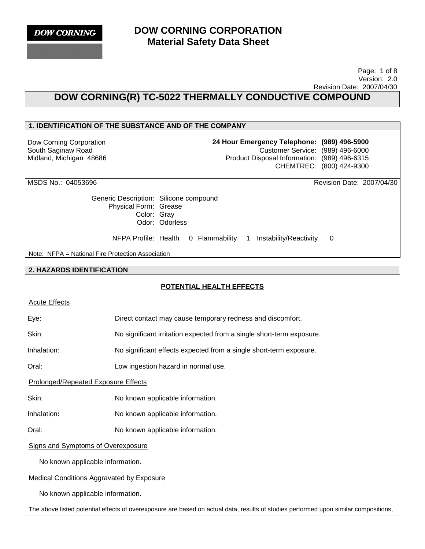

 Page: 1 of 8 Version: 2.0 Revision Date: 2007/04/30

# **DOW CORNING(R) TC-5022 THERMALLY CONDUCTIVE COMPOUND**

## **1. IDENTIFICATION OF THE SUBSTANCE AND OF THE COMPANY**

Dow Corning Corporation South Saginaw Road Midland, Michigan 48686 **24 Hour Emergency Telephone: (989) 496-5900** Customer Service: (989) 496-6000 Product Disposal Information: (989) 496-6315 CHEMTREC: (800) 424-9300

MSDS No.: 04053696 Revision Date: 2007/04/30

Generic Description: Silicone compound Physical Form: Grease Color: Gray Odor: Odorless

NFPA Profile: Health 0 Flammability 1 Instability/Reactivity 0

Note: NFPA = National Fire Protection Association

#### **2. HAZARDS IDENTIFICATION**

## **POTENTIAL HEALTH EFFECTS**

|--|

Eye: Direct contact may cause temporary redness and discomfort.

Skin: No significant irritation expected from a single short-term exposure.

Inhalation: No significant effects expected from a single short-term exposure.

Oral: Low ingestion hazard in normal use.

Prolonged/Repeated Exposure Effects

Skin: No known applicable information.

Inhalation**:** No known applicable information.

Oral: No known applicable information.

Signs and Symptoms of Overexposure

No known applicable information.

Medical Conditions Aggravated by Exposure

No known applicable information.

The above listed potential effects of overexposure are based on actual data, results of studies performed upon similar compositions,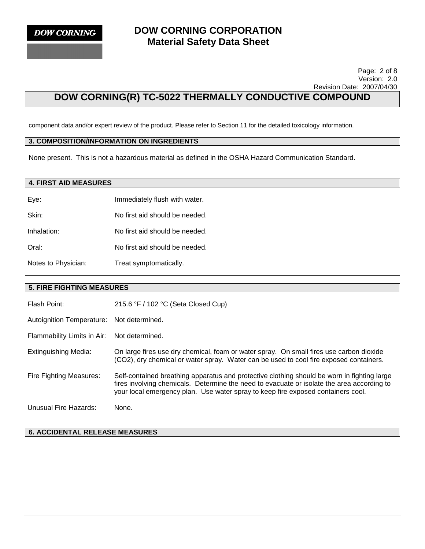#### Page: 2 of 8 Version: 2.0 Revision Date: 2007/04/30

# **DOW CORNING(R) TC-5022 THERMALLY CONDUCTIVE COMPOUND**

component data and/or expert review of the product. Please refer to Section 11 for the detailed toxicology information.

### **3. COMPOSITION/INFORMATION ON INGREDIENTS**

None present. This is not a hazardous material as defined in the OSHA Hazard Communication Standard.

## **4. FIRST AID MEASURES**

| Eye:                | Immediately flush with water.  |
|---------------------|--------------------------------|
| Skin:               | No first aid should be needed. |
| Inhalation:         | No first aid should be needed. |
| Oral:               | No first aid should be needed. |
| Notes to Physician: | Treat symptomatically.         |

#### **5. FIRE FIGHTING MEASURES**

| Flash Point:                     | 215.6 °F / 102 °C (Seta Closed Cup)                                                                                                                                                                                                                                           |
|----------------------------------|-------------------------------------------------------------------------------------------------------------------------------------------------------------------------------------------------------------------------------------------------------------------------------|
| <b>Autoignition Temperature:</b> | Not determined.                                                                                                                                                                                                                                                               |
| Flammability Limits in Air:      | Not determined.                                                                                                                                                                                                                                                               |
| Extinguishing Media:             | On large fires use dry chemical, foam or water spray. On small fires use carbon dioxide<br>(CO2), dry chemical or water spray. Water can be used to cool fire exposed containers.                                                                                             |
| Fire Fighting Measures:          | Self-contained breathing apparatus and protective clothing should be worn in fighting large<br>fires involving chemicals. Determine the need to evacuate or isolate the area according to<br>your local emergency plan. Use water spray to keep fire exposed containers cool. |
| Unusual Fire Hazards:            | None.                                                                                                                                                                                                                                                                         |

**6. ACCIDENTAL RELEASE MEASURES**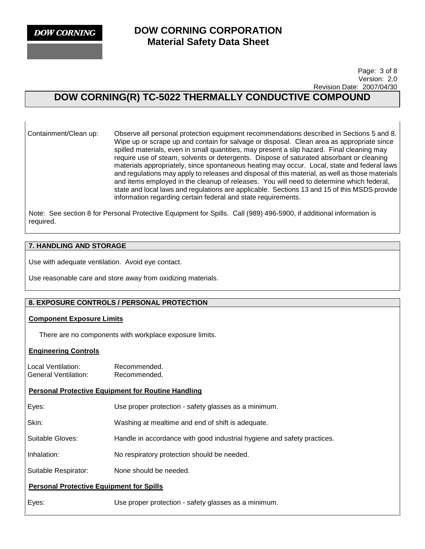**DOW CORNING** 

## **DOW CORNING CORPORATION Material Safety Data Sheet**

 Page: 3 of 8 Version: 2.0 Revision Date: 2007/04/30

# **DOW CORNING(R) TC-5022 THERMALLY CONDUCTIVE COMPOUND**

Containment/Clean up: Observe all personal protection equipment recommendations described in Sections 5 and 8. Wipe up or scrape up and contain for salvage or disposal. Clean area as appropriate since spilled materials, even in small quantities, may present a slip hazard. Final cleaning may require use of steam, solvents or detergents. Dispose of saturated absorbant or cleaning materials appropriately, since spontaneous heating may occur. Local, state and federal laws and regulations may apply to releases and disposal of this material, as well as those materials and items employed in the cleanup of releases. You will need to determine which federal, state and local laws and regulations are applicable. Sections 13 and 15 of this MSDS provide information regarding certain federal and state requirements.

Note: See section 8 for Personal Protective Equipment for Spills. Call (989) 496-5900, if additional information is required.

## **7. HANDLING AND STORAGE**

Use with adequate ventilation. Avoid eye contact.

Use reasonable care and store away from oxidizing materials.

## **8. EXPOSURE CONTROLS / PERSONAL PROTECTION**

#### **Component Exposure Limits**

There are no components with workplace exposure limits.

## **Engineering Controls**

Local Ventilation: Recommended. General Ventilation: Recommended.

## **Personal Protective Equipment for Routine Handling**

Eyes: Use proper protection - safety glasses as a minimum.

Skin: Washing at mealtime and end of shift is adequate.

Suitable Gloves: Handle in accordance with good industrial hygiene and safety practices.

Inhalation: No respiratory protection should be needed.

Suitable Respirator: None should be needed.

## **Personal Protective Equipment for Spills**

Eyes: Use proper protection - safety glasses as a minimum.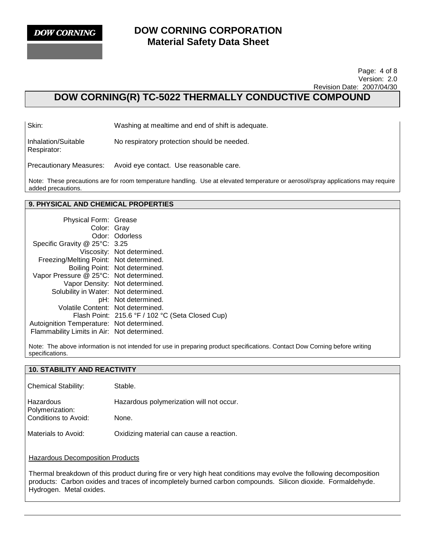

#### Page: 4 of 8 Version: 2.0 Revision Date: 2007/04/30

# **DOW CORNING(R) TC-5022 THERMALLY CONDUCTIVE COMPOUND**

Skin: Washing at mealtime and end of shift is adequate.

Inhalation/Suitable Respirator: No respiratory protection should be needed.

Precautionary Measures: Avoid eye contact. Use reasonable care.

Note: These precautions are for room temperature handling. Use at elevated temperature or aerosol/spray applications may require added precautions.

## **9. PHYSICAL AND CHEMICAL PROPERTIES**

| Physical Form: Grease                       |                                                  |
|---------------------------------------------|--------------------------------------------------|
| Color: Gray                                 |                                                  |
|                                             | Odor: Odorless                                   |
| Specific Gravity @ 25°C: 3.25               |                                                  |
|                                             | Viscosity: Not determined.                       |
| Freezing/Melting Point: Not determined.     |                                                  |
|                                             | Boiling Point: Not determined.                   |
| Vapor Pressure @ 25°C: Not determined.      |                                                  |
|                                             | Vapor Density: Not determined.                   |
| Solubility in Water: Not determined.        |                                                  |
|                                             | pH: Not determined.                              |
| Volatile Content: Not determined.           |                                                  |
|                                             | Flash Point: 215.6 °F / 102 °C (Seta Closed Cup) |
| Autoignition Temperature: Not determined.   |                                                  |
| Flammability Limits in Air: Not determined. |                                                  |

Note: The above information is not intended for use in preparing product specifications. Contact Dow Corning before writing specifications.

| <b>10. STABILITY AND REACTIVITY</b>                                                                                                                                                                                             |                                          |  |  |  |
|---------------------------------------------------------------------------------------------------------------------------------------------------------------------------------------------------------------------------------|------------------------------------------|--|--|--|
| <b>Chemical Stability:</b>                                                                                                                                                                                                      | Stable.                                  |  |  |  |
| Hazardous<br>Polymerization:                                                                                                                                                                                                    | Hazardous polymerization will not occur. |  |  |  |
| Conditions to Avoid:                                                                                                                                                                                                            | None.                                    |  |  |  |
| Materials to Avoid:<br>Oxidizing material can cause a reaction.                                                                                                                                                                 |                                          |  |  |  |
| <b>Hazardous Decomposition Products</b>                                                                                                                                                                                         |                                          |  |  |  |
| Thermal breakdown of this product during fire or very high heat conditions may evolve the following decomposition<br>products: Carbon oxides and traces of incompletely burned carbon compounds. Silicon dioxide. Formaldehyde. |                                          |  |  |  |

Hydrogen. Metal oxides.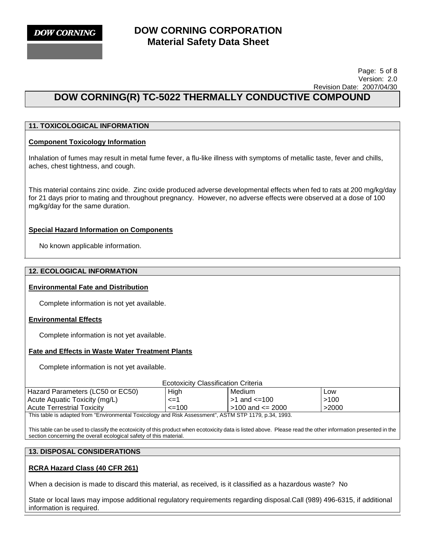

#### Page: 5 of 8 Version: 2.0 Revision Date: 2007/04/30

# **DOW CORNING(R) TC-5022 THERMALLY CONDUCTIVE COMPOUND**

## **11. TOXICOLOGICAL INFORMATION**

#### **Component Toxicology Information**

Inhalation of fumes may result in metal fume fever, a flu-like illness with symptoms of metallic taste, fever and chills, aches, chest tightness, and cough.

This material contains zinc oxide. Zinc oxide produced adverse developmental effects when fed to rats at 200 mg/kg/day for 21 days prior to mating and throughout pregnancy. However, no adverse effects were observed at a dose of 100 mg/kg/day for the same duration.

#### **Special Hazard Information on Components**

No known applicable information.

#### **12. ECOLOGICAL INFORMATION**

#### **Environmental Fate and Distribution**

Complete information is not yet available.

#### **Environmental Effects**

Complete information is not yet available.

#### **Fate and Effects in Waste Water Treatment Plants**

Complete information is not yet available.

| <b>Ecotoxicity Classification Criteria</b>                                                            |            |                    |       |  |
|-------------------------------------------------------------------------------------------------------|------------|--------------------|-------|--|
| Hazard Parameters (LC50 or EC50)                                                                      | High       | Medium             | Low   |  |
| Acute Aquatic Toxicity (mg/L)                                                                         | <=1        | l >1 and <=100     | >100  |  |
| <b>Acute Terrestrial Toxicity</b>                                                                     | $\leq$ 100 | l >100 and <= 2000 | >2000 |  |
| This table is adapted from "Environmental Toxicology and Risk Assessment", ASTM STP 1179, p.34, 1993. |            |                    |       |  |

This table can be used to classify the ecotoxicity of this product when ecotoxicity data is listed above. Please read the other information presented in the section concerning the overall ecological safety of this material.

#### **13. DISPOSAL CONSIDERATIONS**

#### **RCRA Hazard Class (40 CFR 261)**

When a decision is made to discard this material, as received, is it classified as a hazardous waste? No

State or local laws may impose additional regulatory requirements regarding disposal.Call (989) 496-6315, if additional information is required.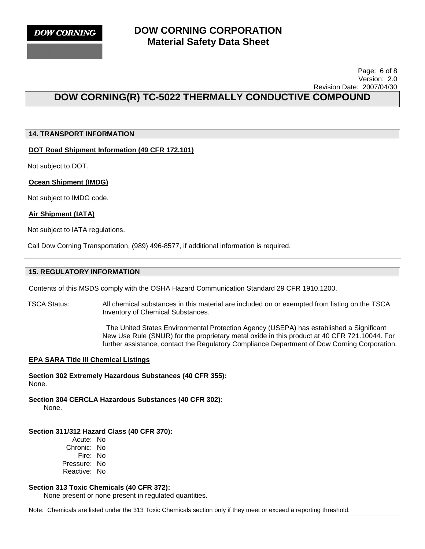#### Page: 6 of 8 Version: 2.0 Revision Date: 2007/04/30

# **DOW CORNING(R) TC-5022 THERMALLY CONDUCTIVE COMPOUND**

## **14. TRANSPORT INFORMATION**

#### **DOT Road Shipment Information (49 CFR 172.101)**

Not subject to DOT.

#### **Ocean Shipment (IMDG)**

Not subject to IMDG code.

#### **Air Shipment (IATA)**

Not subject to IATA regulations.

Call Dow Corning Transportation, (989) 496-8577, if additional information is required.

### **15. REGULATORY INFORMATION**

Contents of this MSDS comply with the OSHA Hazard Communication Standard 29 CFR 1910.1200.

TSCA Status: All chemical substances in this material are included on or exempted from listing on the TSCA Inventory of Chemical Substances.

> The United States Environmental Protection Agency (USEPA) has established a Significant New Use Rule (SNUR) for the proprietary metal oxide in this product at 40 CFR 721.10044. For further assistance, contact the Regulatory Compliance Department of Dow Corning Corporation.

#### **EPA SARA Title III Chemical Listings**

**Section 302 Extremely Hazardous Substances (40 CFR 355):**  None.

**Section 304 CERCLA Hazardous Substances (40 CFR 302):**  None.

#### **Section 311/312 Hazard Class (40 CFR 370):**

Acute: No Chronic: No Fire: No Pressure: No Reactive: No

#### **Section 313 Toxic Chemicals (40 CFR 372):**

None present or none present in regulated quantities.

Note: Chemicals are listed under the 313 Toxic Chemicals section only if they meet or exceed a reporting threshold.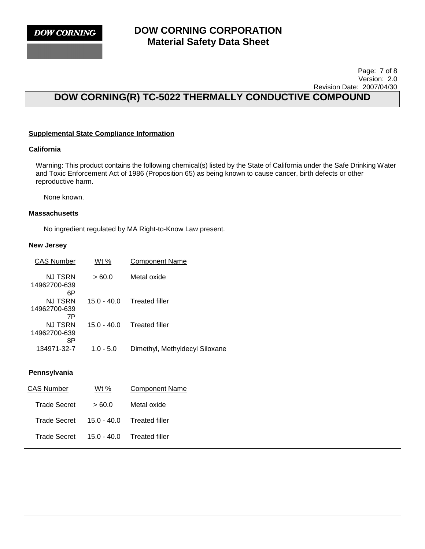#### Page: 7 of 8 Version: 2.0 Revision Date: 2007/04/30

# **DOW CORNING(R) TC-5022 THERMALLY CONDUCTIVE COMPOUND**

## **Supplemental State Compliance Information**

### **California**

Warning: This product contains the following chemical(s) listed by the State of California under the Safe Drinking Water and Toxic Enforcement Act of 1986 (Proposition 65) as being known to cause cancer, birth defects or other reproductive harm.

None known.

#### **Massachusetts**

No ingredient regulated by MA Right-to-Know Law present.

#### **New Jersey**

| <b>CAS Number</b>             | Wt %          | Component Name                 |
|-------------------------------|---------------|--------------------------------|
| NJ TSRN<br>14962700-639<br>6Р | >60.0         | Metal oxide                    |
| NJ TSRN<br>14962700-639<br>7P | 15.0 - 40.0   | <b>Treated filler</b>          |
| NJ TSRN<br>14962700-639<br>8Ρ | 15.0 - 40.0   | <b>Treated filler</b>          |
| 134971-32-7                   | $1.0 - 5.0$   | Dimethyl, Methyldecyl Siloxane |
| Pennsylvania                  |               |                                |
| <b>CAS Number</b>             | <u>Wt %</u>   | <b>Component Name</b>          |
| <b>Trade Secret</b>           | >60.0         | Metal oxide                    |
| Trade Secret                  | $15.0 - 40.0$ | <b>Treated filler</b>          |

Trade Secret 15.0 - 40.0 Treated filler